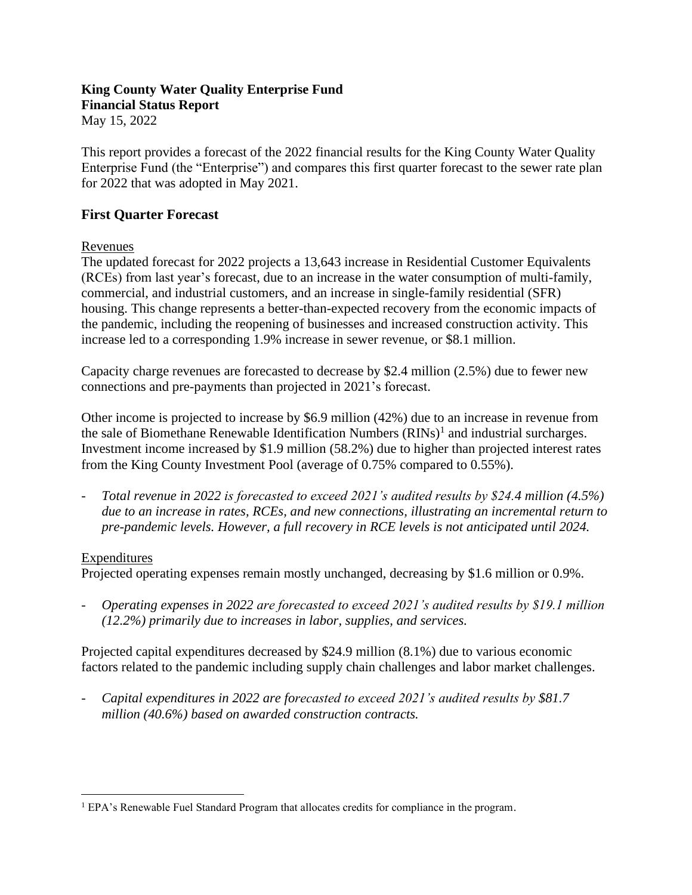# **King County Water Quality Enterprise Fund Financial Status Report**

May 15, 2022

This report provides a forecast of the 2022 financial results for the King County Water Quality Enterprise Fund (the "Enterprise") and compares this first quarter forecast to the sewer rate plan for 2022 that was adopted in May 2021.

## **First Quarter Forecast**

Revenues

The updated forecast for 2022 projects a 13,643 increase in Residential Customer Equivalents (RCEs) from last year's forecast, due to an increase in the water consumption of multi-family, commercial, and industrial customers, and an increase in single-family residential (SFR) housing. This change represents a better-than-expected recovery from the economic impacts of the pandemic, including the reopening of businesses and increased construction activity. This increase led to a corresponding 1.9% increase in sewer revenue, or \$8.1 million.

Capacity charge revenues are forecasted to decrease by \$2.4 million (2.5%) due to fewer new connections and pre-payments than projected in 2021's forecast.

Other income is projected to increase by \$6.9 million (42%) due to an increase in revenue from the sale of Biomethane Renewable Identification Numbers  $(RINS)^1$  and industrial surcharges. Investment income increased by \$1.9 million (58.2%) due to higher than projected interest rates from the King County Investment Pool (average of 0.75% compared to 0.55%).

- *Total revenue in 2022 is forecasted to exceed 2021's audited results by \$24.4 million (4.5%) due to an increase in rates, RCEs, and new connections, illustrating an incremental return to pre-pandemic levels. However, a full recovery in RCE levels is not anticipated until 2024.*

### Expenditures

Projected operating expenses remain mostly unchanged, decreasing by \$1.6 million or 0.9%.

- *Operating expenses in 2022 are forecasted to exceed 2021's audited results by \$19.1 million (12.2%) primarily due to increases in labor, supplies, and services.*

Projected capital expenditures decreased by \$24.9 million (8.1%) due to various economic factors related to the pandemic including supply chain challenges and labor market challenges.

- *Capital expenditures in 2022 are forecasted to exceed 2021's audited results by \$81.7 million (40.6%) based on awarded construction contracts.*

<sup>&</sup>lt;sup>1</sup> EPA's Renewable Fuel Standard Program that allocates credits for compliance in the program.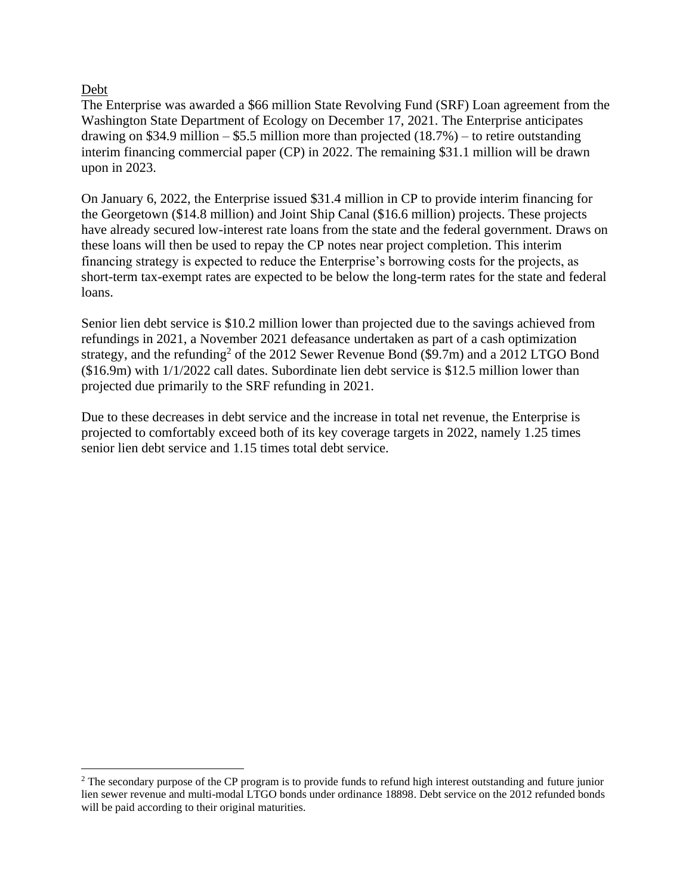#### Debt

The Enterprise was awarded a \$66 million State Revolving Fund (SRF) Loan agreement from the Washington State Department of Ecology on December 17, 2021. The Enterprise anticipates drawing on \$34.9 million – \$5.5 million more than projected  $(18.7%)$  – to retire outstanding interim financing commercial paper (CP) in 2022. The remaining \$31.1 million will be drawn upon in 2023.

On January 6, 2022, the Enterprise issued \$31.4 million in CP to provide interim financing for the Georgetown (\$14.8 million) and Joint Ship Canal (\$16.6 million) projects. These projects have already secured low-interest rate loans from the state and the federal government. Draws on these loans will then be used to repay the CP notes near project completion. This interim financing strategy is expected to reduce the Enterprise's borrowing costs for the projects, as short-term tax-exempt rates are expected to be below the long-term rates for the state and federal loans.

Senior lien debt service is \$10.2 million lower than projected due to the savings achieved from refundings in 2021, a November 2021 defeasance undertaken as part of a cash optimization strategy, and the refunding<sup>2</sup> of the 2012 Sewer Revenue Bond (\$9.7m) and a 2012 LTGO Bond (\$16.9m) with 1/1/2022 call dates. Subordinate lien debt service is \$12.5 million lower than projected due primarily to the SRF refunding in 2021.

Due to these decreases in debt service and the increase in total net revenue, the Enterprise is projected to comfortably exceed both of its key coverage targets in 2022, namely 1.25 times senior lien debt service and 1.15 times total debt service.

<sup>&</sup>lt;sup>2</sup> The secondary purpose of the CP program is to provide funds to refund high interest outstanding and future junior lien sewer revenue and multi-modal LTGO bonds under ordinance 18898. Debt service on the 2012 refunded bonds will be paid according to their original maturities.